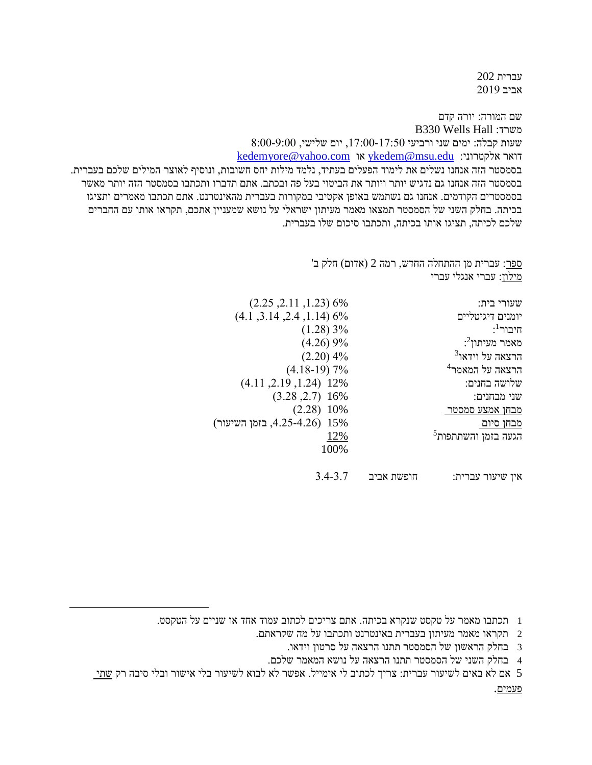עברית 202 אביב 2019

שם המורה: יורה קדם B330 Wells Hall :משרד שעות קבלה: ימים שני ורביעי ,17:00-17:50 יום שלישי, 8:00-9:00 [kedemyore@yahoo.com](mailto:kedemyore@yahoo.com) או [ykedem@msu.edu](mailto:ykedem@msu.edu) :אלקטרוני דואר בסמסטר הזה אנחנו נשלים את לימוד הפעלים בעתיד, נלמד מילות יחס חשובות, ונוסיף לאוצר המילים שלכם בעברית. בסמסטר הזה אנחנו גם נדגיש יותר ויותר את הביטוי בעל פה ובכתב. אתם תדברו ותכתבו בסמסטר הזה יותר מאשר בסמסטרים הקודמים. אנחנו גם נשתמש באופן אקטיבי במקורות בעברית מהאינטרנט. אתם תכתבו מאמרים ותציגו בכיתה. בחלק השני של הסמסטר תמצאו מאמר מעיתון ישראלי על נושא שמעניין אתכם, תקראו אותו עם החברים שלכם לכיתה, תציגו אותו בכיתה, ותכתבו סיכום שלו בעברית.

> ספר: עברית מן ההתחלה החדש, רמה 2 (אדום) חלק ב' מילון: עברי אנגלי עברי

| שעורי בית:                  | $(2.25, 2.11, 1.23)$ 6%      |
|-----------------------------|------------------------------|
| יומנים דיגיטליים            | $(4.1, 3.14, 2.4, 1.14)$ 6%  |
| : <sup>1</sup> היבור        | (1.28)3%                     |
| $:$ מאמר מעיתון             | (4.26)9%                     |
| הרצאה על וידאו <sup>3</sup> | $(2.20)$ 4%                  |
| הרצאה על המאמר <sup>4</sup> | $(4.18-19)$ 7%               |
| שלושה בחנים:                | $(4.11, 2.19, 1.24)$ 12%     |
| שני מבחנים:                 | $(3.28, 2.7)$ 16%            |
| מבחן אמצע סמסטר             | $(2.28)$ 10%                 |
| <u>מבחן סיום.</u>           | 15% (4.25-4.26, בזמן השיעור) |
| $^5$ הגעה בזמן והשתתפות     | 12%                          |
|                             | 100%                         |
|                             |                              |
|                             |                              |

אין שיעור עברית: חופשת אביב 3.4-3.7

1 תכתבו מאמר על טקסט שנקרא בכיתה. אתם צריכים לכתוב עמוד אחד או שניים על הטקסט.

- 2 תקראו מאמר מעיתון בעברית באינטרנט ותכתבו על מה שקראתם.
	- 3 בחלק הראשון של הסמסטר תתנו הרצאה על סרטון וידאו.
	- 4 בחלק השני של הסמסטר תתנו הרצאה על נושא המאמר שלכם.

5 אם לא באים לשיעור עברית: צריך לכתוב לי אימייל. אפשר לא לבוא לשיעור בלי אישור ובלי סיבה רק שתי

 $\overline{a}$ 

פעמים.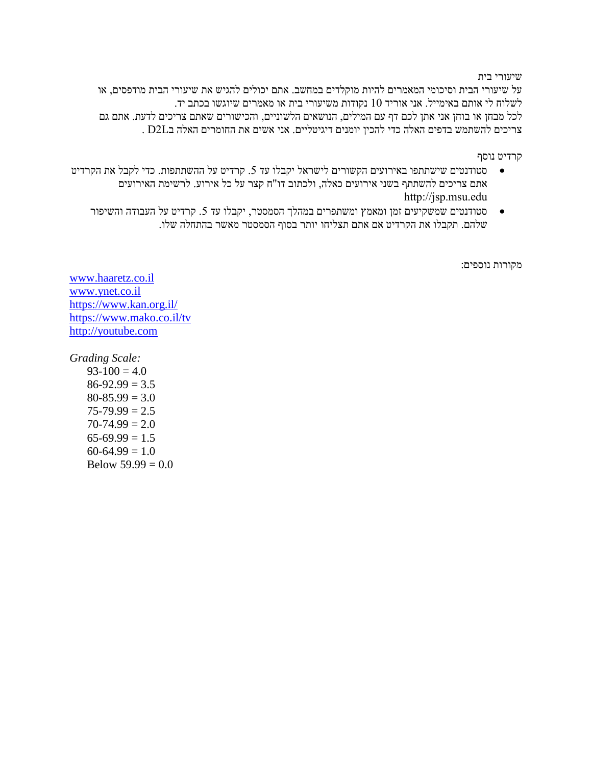## שיעורי בית

על שיעורי הבית וסיכומי המאמרים להיות מוקלדים במחשב. אתם יכולים להגיש את שיעורי הבית מודפסים, או לשלוח לי אותם באימייל. אני אוריד 10 נקודות משיעורי בית או מאמרים שיוגשו בכתב יד. לכל מבחן או בוחן אני אתן לכם דף עם המילים, הנושאים הלשוניים, והכישורים שאתם צריכים לדעת. אתם גם צריכים להשתמש בדפים האלה כדי להכין יומנים דיגיטליים. אני אשים את החומרים האלה בL2D .

קרדיט נוסף

- סטודנטים שישתתפו באירועים הקשורים לישראל יקבלו עד 5. קרדיט על ההשתתפות. כדי לקבל את הקרדיט  $\bullet$ אתם צריכים להשתתף בשני אירועים כאלה, ולכתוב דו"ח קצר על כל אירוע. לרשימת האירועים http://jsp.msu.edu
	- סטודנטים שמשקיעים זמן ומאמץ ומשתפרים במהלך הסמסטר, יקבלו עד 5. קרדיט על העבודה והשיפור שלהם. תקבלו את הקרדיט אם אתם תצליחו יותר בסוף הסמסטר מאשר בהתחלה שלו.

מקורות נוספים:

[www.haaretz.co.il](http://www.haaretz.co.il/) [www.ynet.co.il](http://www.ynet.co.il/) <https://www.kan.org.il/> <https://www.mako.co.il/tv> [http://youtube.com](http://youtube.com/)

*Grading Scale:*

 $93-100 = 4.0$  $86-92.99 = 3.5$  $80-85.99 = 3.0$  $75-79.99 = 2.5$  $70-74.99 = 2.0$  $65-69.99 = 1.5$  $60-64.99 = 1.0$ Below  $59.99 = 0.0$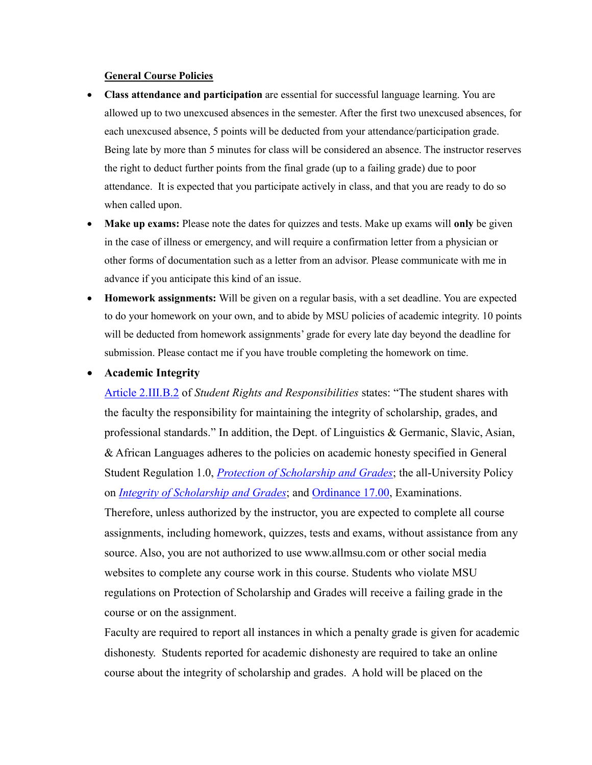## **General Course Policies**

- **Class attendance and participation** are essential for successful language learning. You are allowed up to two unexcused absences in the semester. After the first two unexcused absences, for each unexcused absence, 5 points will be deducted from your attendance/participation grade. Being late by more than 5 minutes for class will be considered an absence. The instructor reserves the right to deduct further points from the final grade (up to a failing grade) due to poor attendance. It is expected that you participate actively in class, and that you are ready to do so when called upon.
- **Make up exams:** Please note the dates for quizzes and tests. Make up exams will **only** be given in the case of illness or emergency, and will require a confirmation letter from a physician or other forms of documentation such as a letter from an advisor. Please communicate with me in advance if you anticipate this kind of an issue.
- **Homework assignments:** Will be given on a regular basis, with a set deadline. You are expected to do your homework on your own, and to abide by MSU policies of academic integrity. 10 points will be deducted from homework assignments' grade for every late day beyond the deadline for submission. Please contact me if you have trouble completing the homework on time.

## **Academic Integrity**

course or on the assignment.

[Article 2.III.B.2](http://splife.studentlife.msu.edu/academic-freedom-for-students-at-michigan-state-university/article-2-academic-rights-and-responsibilities) of *Student Rights and Responsibilities* states: "The student shares with the faculty the responsibility for maintaining the integrity of scholarship, grades, and professional standards." In addition, the Dept. of Linguistics & Germanic, Slavic, Asian, & African Languages adheres to the policies on academic honesty specified in General Student Regulation 1.0, *[Protection of Scholarship and Grades](http://splife.studentlife.msu.edu/regulations/general-student-regulations)*; the all-University Policy on *[Integrity of Scholarship and Grades](http://www.reg.msu.edu/AcademicPrograms/Print.asp?Section=534)*; and [Ordinance 17.00,](http://splife.studentlife.msu.edu/regulations/student-group-regulations-administrative-rulings-all-university-policies-and-selected-ordinances/examinations-ordinance-17-00) Examinations. Therefore, unless authorized by the instructor, you are expected to complete all course assignments, including homework, quizzes, tests and exams, without assistance from any source. Also, you are not authorized to use www.allmsu.com or other social media websites to complete any course work in this course. Students who violate MSU regulations on Protection of Scholarship and Grades will receive a failing grade in the

Faculty are required to report all instances in which a penalty grade is given for academic dishonesty. Students reported for academic dishonesty are required to take an online course about the integrity of scholarship and grades. A hold will be placed on the